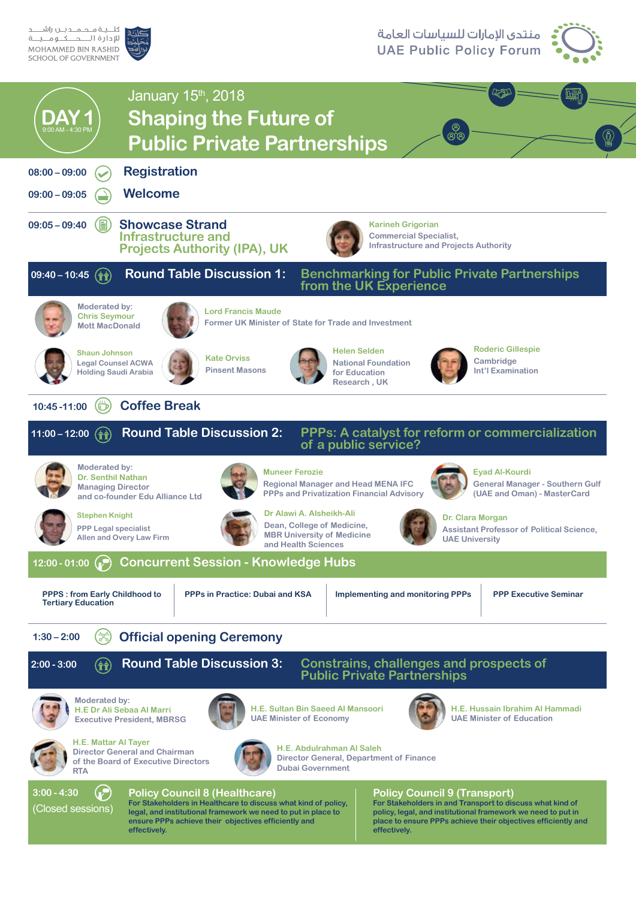كلـــيــة مــحــمـــد بـــن راشــ

MOHAMMED BIN RASHID SCHOOL OF GOVERNMENT